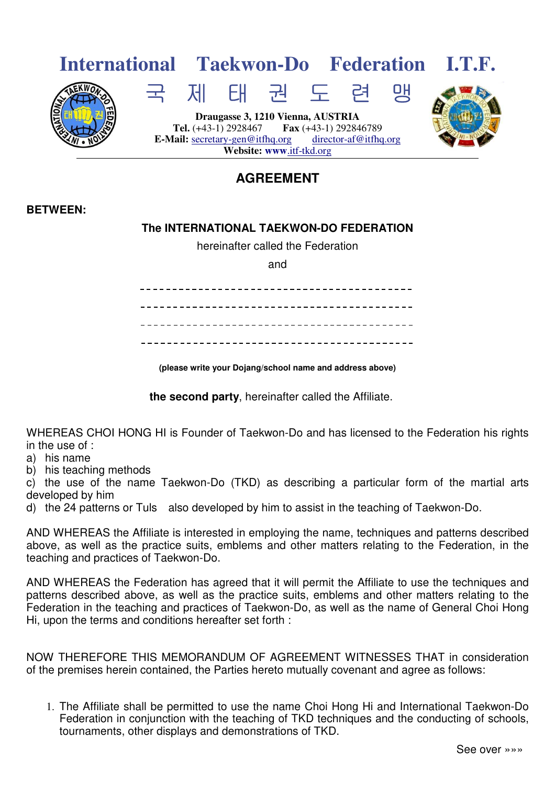

## **AGREEMENT**

## **BETWEEN:**

## **The INTERNATIONAL TAEKWON-DO FEDERATION**

hereinafter called the Federation

and

**(please write your Dojang/school name and address above)** 

**the second party**, hereinafter called the Affiliate.

WHEREAS CHOI HONG HI is Founder of Taekwon-Do and has licensed to the Federation his rights in the use of :

a) his name

b) his teaching methods

c) the use of the name Taekwon-Do (TKD) as describing a particular form of the martial arts developed by him

d) the 24 patterns or Tuls also developed by him to assist in the teaching of Taekwon-Do.

AND WHEREAS the Affiliate is interested in employing the name, techniques and patterns described above, as well as the practice suits, emblems and other matters relating to the Federation, in the teaching and practices of Taekwon-Do.

AND WHEREAS the Federation has agreed that it will permit the Affiliate to use the techniques and patterns described above, as well as the practice suits, emblems and other matters relating to the Federation in the teaching and practices of Taekwon-Do, as well as the name of General Choi Hong Hi, upon the terms and conditions hereafter set forth :

NOW THEREFORE THIS MEMORANDUM OF AGREEMENT WITNESSES THAT in consideration of the premises herein contained, the Parties hereto mutually covenant and agree as follows:

1. The Affiliate shall be permitted to use the name Choi Hong Hi and International Taekwon-Do Federation in conjunction with the teaching of TKD techniques and the conducting of schools, tournaments, other displays and demonstrations of TKD.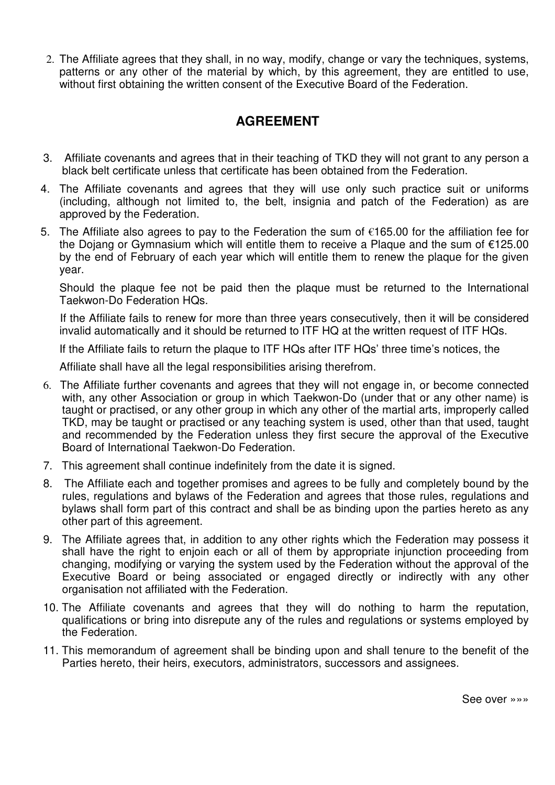2. The Affiliate agrees that they shall, in no way, modify, change or vary the techniques, systems, patterns or any other of the material by which, by this agreement, they are entitled to use, without first obtaining the written consent of the Executive Board of the Federation.

## **AGREEMENT**

- 3. Affiliate covenants and agrees that in their teaching of TKD they will not grant to any person a black belt certificate unless that certificate has been obtained from the Federation.
- 4. The Affiliate covenants and agrees that they will use only such practice suit or uniforms (including, although not limited to, the belt, insignia and patch of the Federation) as are approved by the Federation.
- 5. The Affiliate also agrees to pay to the Federation the sum of €165.00 for the affiliation fee for the Dojang or Gymnasium which will entitle them to receive a Plaque and the sum of €125.00 by the end of February of each year which will entitle them to renew the plaque for the given year.

 Should the plaque fee not be paid then the plaque must be returned to the International Taekwon-Do Federation HQs.

 If the Affiliate fails to renew for more than three years consecutively, then it will be considered invalid automatically and it should be returned to ITF HQ at the written request of ITF HQs.

If the Affiliate fails to return the plaque to ITF HQs after ITF HQs' three time's notices, the

Affiliate shall have all the legal responsibilities arising therefrom.

- 6. The Affiliate further covenants and agrees that they will not engage in, or become connected with, any other Association or group in which Taekwon-Do (under that or any other name) is taught or practised, or any other group in which any other of the martial arts, improperly called TKD, may be taught or practised or any teaching system is used, other than that used, taught and recommended by the Federation unless they first secure the approval of the Executive Board of International Taekwon-Do Federation.
- 7. This agreement shall continue indefinitely from the date it is signed.
- 8. The Affiliate each and together promises and agrees to be fully and completely bound by the rules, regulations and bylaws of the Federation and agrees that those rules, regulations and bylaws shall form part of this contract and shall be as binding upon the parties hereto as any other part of this agreement.
- 9. The Affiliate agrees that, in addition to any other rights which the Federation may possess it shall have the right to enjoin each or all of them by appropriate injunction proceeding from changing, modifying or varying the system used by the Federation without the approval of the Executive Board or being associated or engaged directly or indirectly with any other organisation not affiliated with the Federation.
- 10. The Affiliate covenants and agrees that they will do nothing to harm the reputation, qualifications or bring into disrepute any of the rules and regulations or systems employed by the Federation.
- 11. This memorandum of agreement shall be binding upon and shall tenure to the benefit of the Parties hereto, their heirs, executors, administrators, successors and assignees.